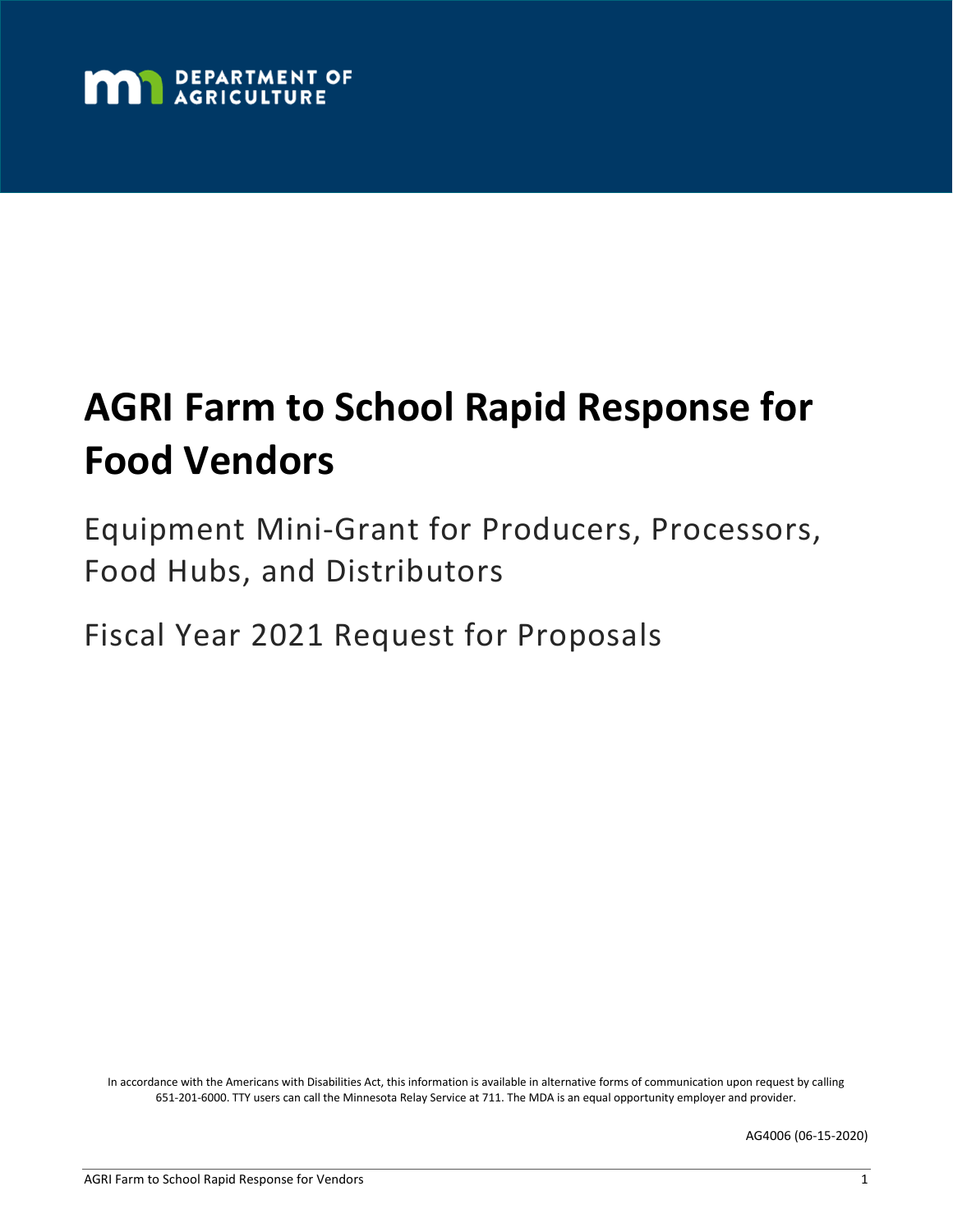

# **AGRI Farm to School Rapid Response for Food Vendors**

Equipment Mini-Grant for Producers, Processors, Food Hubs, and Distributors

Fiscal Year 2021 Request for Proposals

In accordance with the Americans with Disabilities Act, this information is available in alternative forms of communication upon request by calling 651-201-6000. TTY users can call the Minnesota Relay Service at 711. The MDA is an equal opportunity employer and provider.

AG4006 (06-15-2020)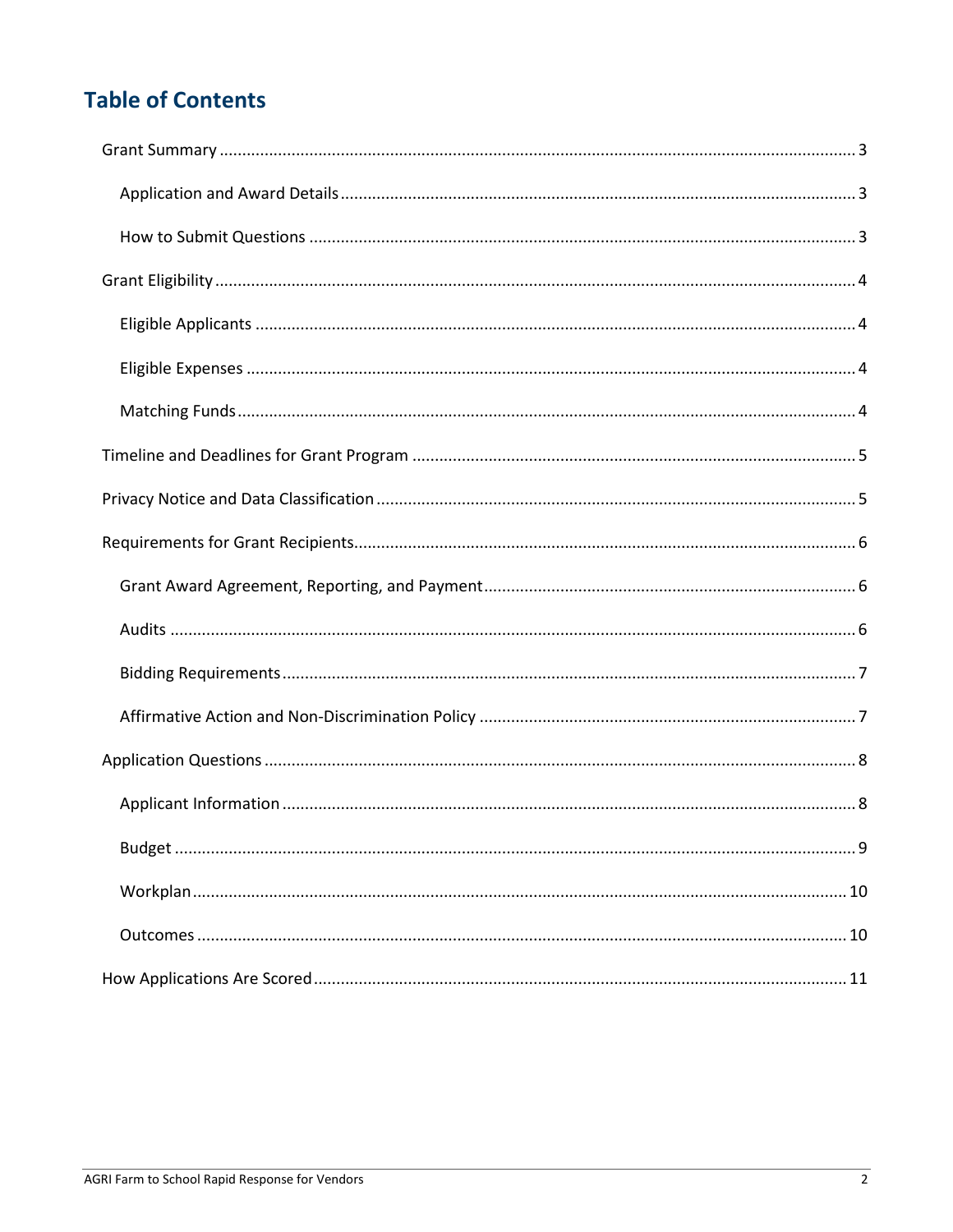# **Table of Contents**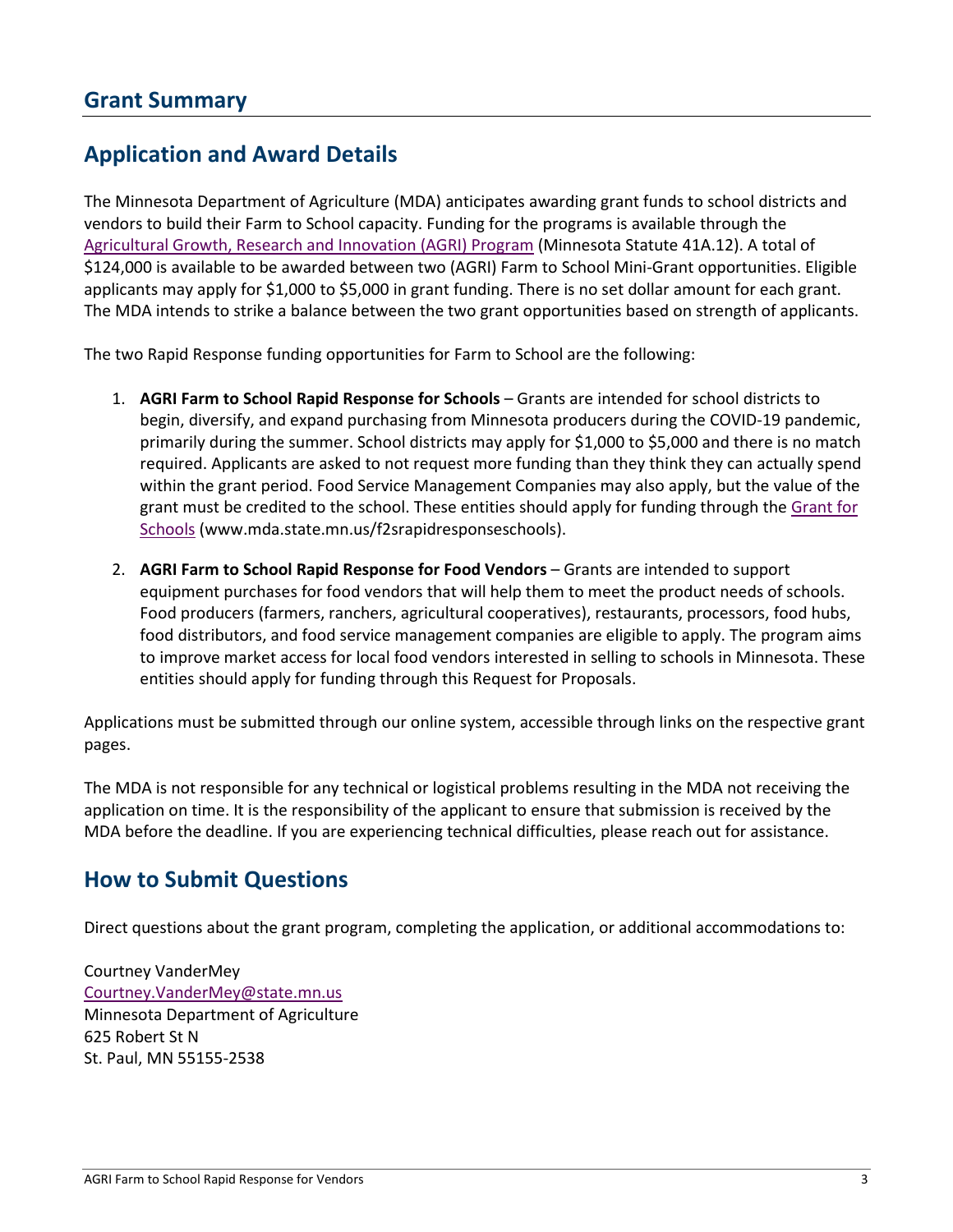# <span id="page-2-1"></span><span id="page-2-0"></span>**Application and Award Details**

The Minnesota Department of Agriculture (MDA) anticipates awarding grant funds to school districts and vendors to build their Farm to School capacity. Funding for the programs is available through the [Agricultural Growth, Research and Innovation \(AGRI\) Program](https://www.mda.state.mn.us/grants/agri) (Minnesota Statute 41A.12). A total of \$124,000 is available to be awarded between two (AGRI) Farm to School Mini-Grant opportunities. Eligible applicants may apply for \$1,000 to \$5,000 in grant funding. There is no set dollar amount for each grant. The MDA intends to strike a balance between the two grant opportunities based on strength of applicants.

The two Rapid Response funding opportunities for Farm to School are the following:

- 1. **AGRI Farm to School Rapid Response for Schools** Grants are intended for school districts to begin, diversify, and expand purchasing from Minnesota producers during the COVID-19 pandemic, primarily during the summer. School districts may apply for \$1,000 to \$5,000 and there is no match required. Applicants are asked to not request more funding than they think they can actually spend within the grant period. Food Service Management Companies may also apply, but the value of the grant must be credited to the school. These entities should apply for funding through the [Grant for](http://www.mda.state.mn.us/f2srapidresponseschools)  [Schools](http://www.mda.state.mn.us/f2srapidresponseschools) (www.mda.state.mn.us/f2srapidresponseschools).
- 2. **AGRI Farm to School Rapid Response for Food Vendors** Grants are intended to support equipment purchases for food vendors that will help them to meet the product needs of schools. Food producers (farmers, ranchers, agricultural cooperatives), restaurants, processors, food hubs, food distributors, and food service management companies are eligible to apply. The program aims to improve market access for local food vendors interested in selling to schools in Minnesota. These entities should apply for funding through this Request for Proposals.

Applications must be submitted through our online system, accessible through links on the respective grant pages.

The MDA is not responsible for any technical or logistical problems resulting in the MDA not receiving the application on time. It is the responsibility of the applicant to ensure that submission is received by the MDA before the deadline. If you are experiencing technical difficulties, please reach out for assistance.

### <span id="page-2-2"></span>**How to Submit Questions**

Direct questions about the grant program, completing the application, or additional accommodations to:

Courtney VanderMey [Courtney.VanderMey@state.mn.us](mailto:Courtney.VanderMey@state.mn.us) Minnesota Department of Agriculture 625 Robert St N St. Paul, MN 55155-2538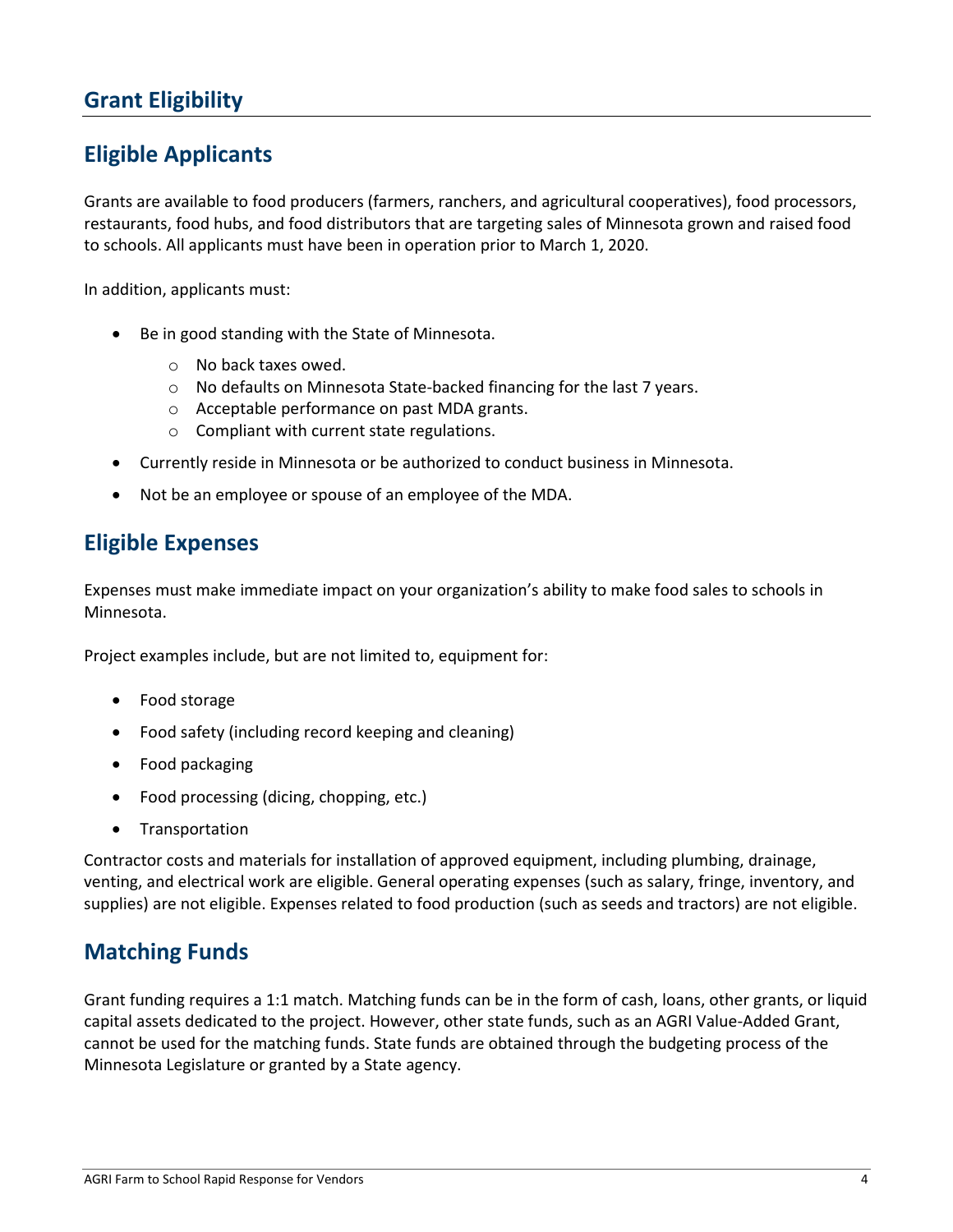# <span id="page-3-1"></span><span id="page-3-0"></span>**Eligible Applicants**

Grants are available to food producers (farmers, ranchers, and agricultural cooperatives), food processors, restaurants, food hubs, and food distributors that are targeting sales of Minnesota grown and raised food to schools. All applicants must have been in operation prior to March 1, 2020.

In addition, applicants must:

- Be in good standing with the State of Minnesota.
	- o No back taxes owed.
	- o No defaults on Minnesota State-backed financing for the last 7 years.
	- o Acceptable performance on past MDA grants.
	- o Compliant with current state regulations.
- Currently reside in Minnesota or be authorized to conduct business in Minnesota.
- Not be an employee or spouse of an employee of the MDA.

#### <span id="page-3-2"></span>**Eligible Expenses**

Expenses must make immediate impact on your organization's ability to make food sales to schools in Minnesota.

Project examples include, but are not limited to, equipment for:

- Food storage
- Food safety (including record keeping and cleaning)
- Food packaging
- Food processing (dicing, chopping, etc.)
- **Transportation**

Contractor costs and materials for installation of approved equipment, including plumbing, drainage, venting, and electrical work are eligible. General operating expenses (such as salary, fringe, inventory, and supplies) are not eligible. Expenses related to food production (such as seeds and tractors) are not eligible.

#### <span id="page-3-3"></span>**Matching Funds**

Grant funding requires a 1:1 match. Matching funds can be in the form of cash, loans, other grants, or liquid capital assets dedicated to the project. However, other state funds, such as an AGRI Value-Added Grant, cannot be used for the matching funds. State funds are obtained through the budgeting process of the Minnesota Legislature or granted by a State agency.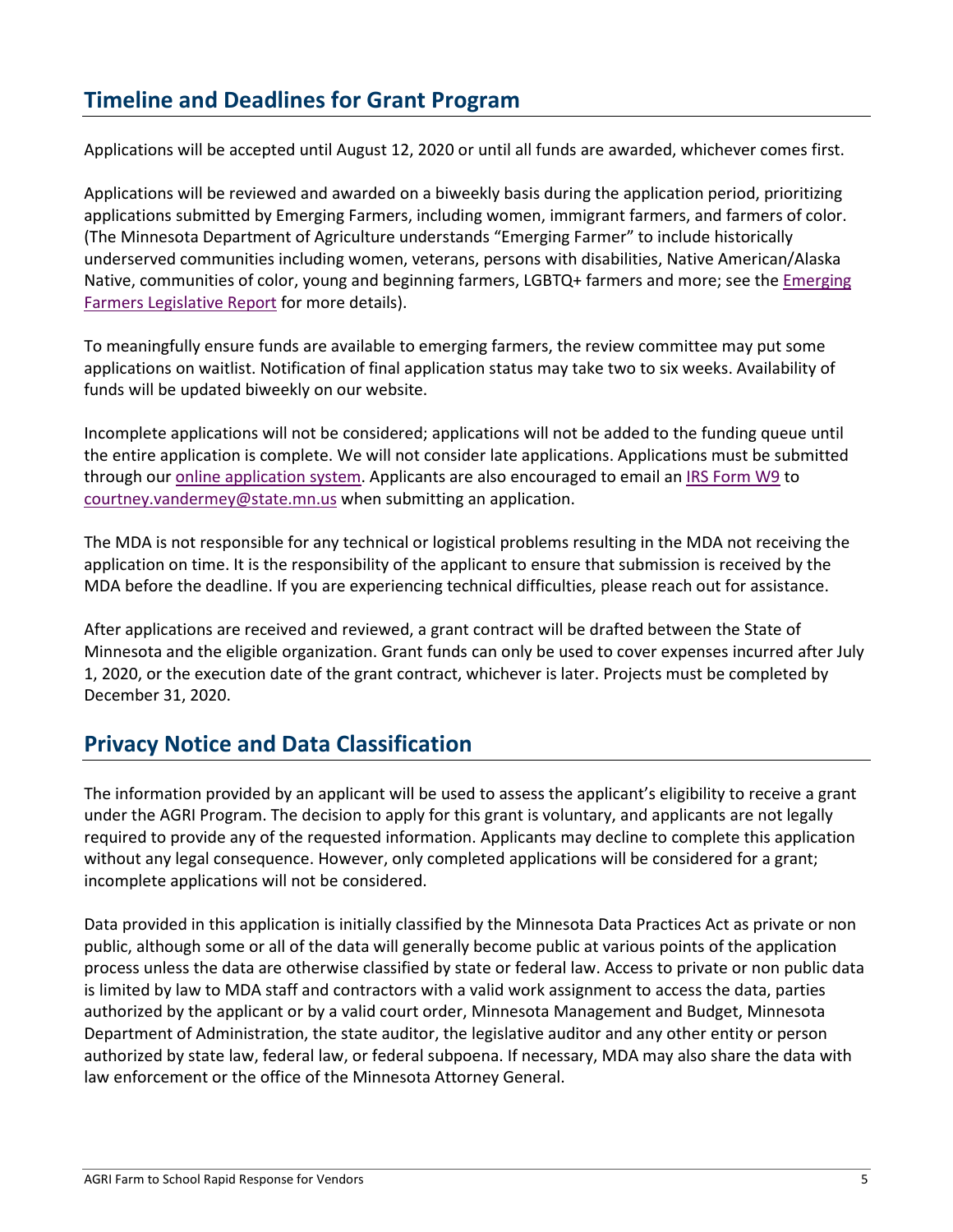# <span id="page-4-0"></span>**Timeline and Deadlines for Grant Program**

Applications will be accepted until August 12, 2020 or until all funds are awarded, whichever comes first.

Applications will be reviewed and awarded on a biweekly basis during the application period, prioritizing applications submitted by Emerging Farmers, including women, immigrant farmers, and farmers of color. (The Minnesota Department of Agriculture understands "Emerging Farmer" to include historically underserved communities including women, veterans, persons with disabilities, Native American/Alaska Native, communities of color, young and beginning farmers, LGBTQ+ farmers and more; see the *Emerging* [Farmers Legislative Report](https://www.leg.state.mn.us/docs/2020/mandated/200237.pdf) for more details).

To meaningfully ensure funds are available to emerging farmers, the review committee may put some applications on waitlist. Notification of final application status may take two to six weeks. Availability of funds will be updated biweekly on our website.

Incomplete applications will not be considered; applications will not be added to the funding queue until the entire application is complete. We will not consider late applications. Applications must be submitted through our [online application system.](https://www.grantinterface.com/Home/Logon?urlkey=statemn) Applicants are also encouraged to email an [IRS Form W9](https://www.irs.gov/pub/irs-pdf/fw9.pdf) to [courtney.vandermey@state.mn.us](mailto:courtney.vandermey@state.mn.us) when submitting an application.

The MDA is not responsible for any technical or logistical problems resulting in the MDA not receiving the application on time. It is the responsibility of the applicant to ensure that submission is received by the MDA before the deadline. If you are experiencing technical difficulties, please reach out for assistance.

After applications are received and reviewed, a grant contract will be drafted between the State of Minnesota and the eligible organization. Grant funds can only be used to cover expenses incurred after July 1, 2020, or the execution date of the grant contract, whichever is later. Projects must be completed by December 31, 2020.

### <span id="page-4-1"></span>**Privacy Notice and Data Classification**

The information provided by an applicant will be used to assess the applicant's eligibility to receive a grant under the AGRI Program. The decision to apply for this grant is voluntary, and applicants are not legally required to provide any of the requested information. Applicants may decline to complete this application without any legal consequence. However, only completed applications will be considered for a grant; incomplete applications will not be considered.

Data provided in this application is initially classified by the Minnesota Data Practices Act as private or non public, although some or all of the data will generally become public at various points of the application process unless the data are otherwise classified by state or federal law. Access to private or non public data is limited by law to MDA staff and contractors with a valid work assignment to access the data, parties authorized by the applicant or by a valid court order, Minnesota Management and Budget, Minnesota Department of Administration, the state auditor, the legislative auditor and any other entity or person authorized by state law, federal law, or federal subpoena. If necessary, MDA may also share the data with law enforcement or the office of the Minnesota Attorney General.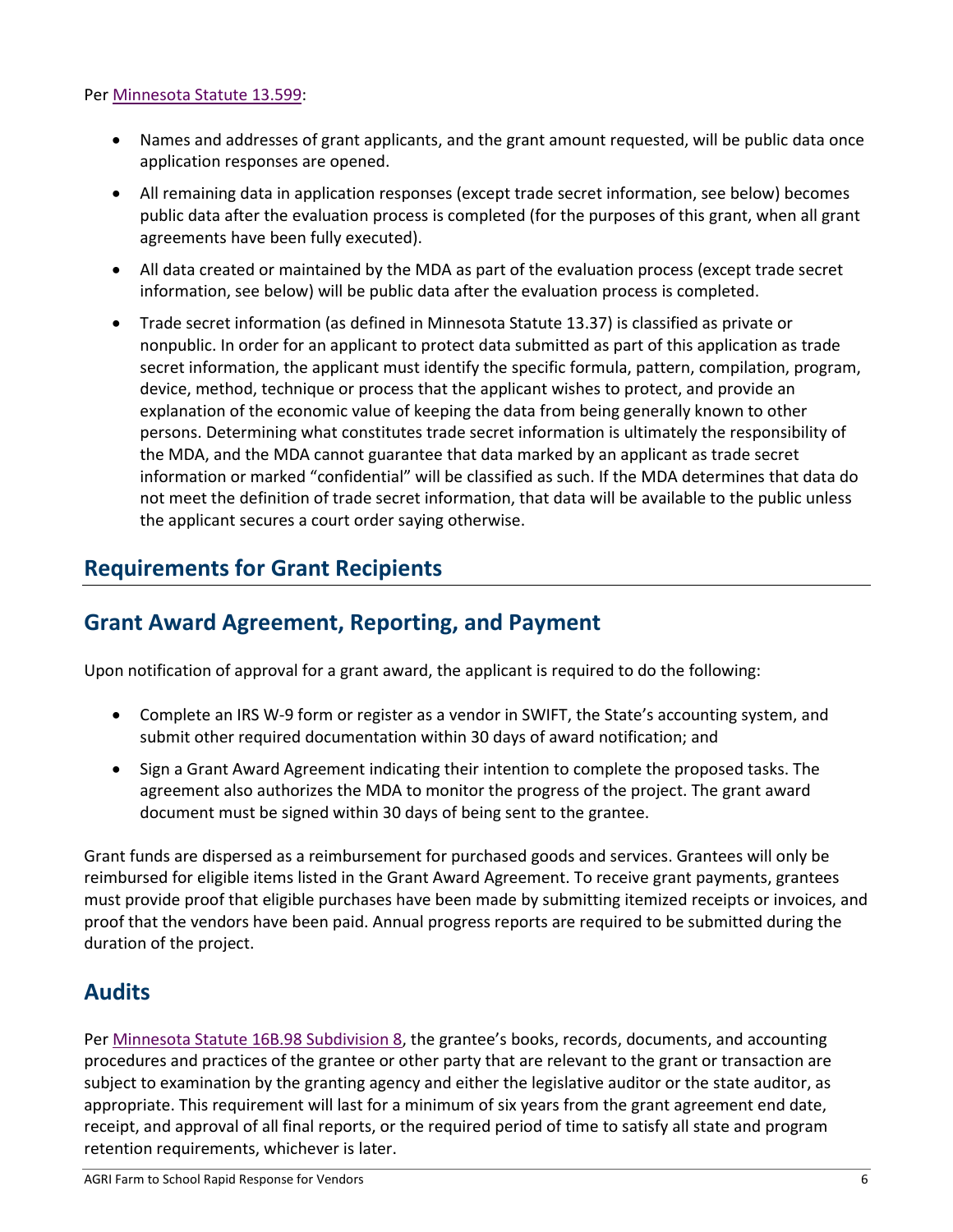#### Per [Minnesota](https://www.revisor.mn.gov/statutes/?id=13.599) Statute 13.599:

- Names and addresses of grant applicants, and the grant amount requested, will be public data once application responses are opened.
- All remaining data in application responses (except trade secret information, see below) becomes public data after the evaluation process is completed (for the purposes of this grant, when all grant agreements have been fully executed).
- All data created or maintained by the MDA as part of the evaluation process (except trade secret information, see below) will be public data after the evaluation process is completed.
- Trade secret information (as defined in Minnesota Statute 13.37) is classified as private or nonpublic. In order for an applicant to protect data submitted as part of this application as trade secret information, the applicant must identify the specific formula, pattern, compilation, program, device, method, technique or process that the applicant wishes to protect, and provide an explanation of the economic value of keeping the data from being generally known to other persons. Determining what constitutes trade secret information is ultimately the responsibility of the MDA, and the MDA cannot guarantee that data marked by an applicant as trade secret information or marked "confidential" will be classified as such. If the MDA determines that data do not meet the definition of trade secret information, that data will be available to the public unless the applicant secures a court order saying otherwise.

#### <span id="page-5-0"></span>**Requirements for Grant Recipients**

### <span id="page-5-1"></span>**Grant Award Agreement, Reporting, and Payment**

Upon notification of approval for a grant award, the applicant is required to do the following:

- Complete an IRS W-9 form or register as a vendor in SWIFT, the State's accounting system, and submit other required documentation within 30 days of award notification; and
- Sign a Grant Award Agreement indicating their intention to complete the proposed tasks. The agreement also authorizes the MDA to monitor the progress of the project. The grant award document must be signed within 30 days of being sent to the grantee.

Grant funds are dispersed as a reimbursement for purchased goods and services. Grantees will only be reimbursed for eligible items listed in the Grant Award Agreement. To receive grant payments, grantees must provide proof that eligible purchases have been made by submitting itemized receipts or invoices, and proof that the vendors have been paid. Annual progress reports are required to be submitted during the duration of the project.

#### <span id="page-5-2"></span>**Audits**

Per Minnesota Statute [16B.98 Subdivision 8,](https://www.revisor.mn.gov/statutes/?id=16B.98) the grantee's books, records, documents, and accounting procedures and practices of the grantee or other party that are relevant to the grant or transaction are subject to examination by the granting agency and either the legislative auditor or the state auditor, as appropriate. This requirement will last for a minimum of six years from the grant agreement end date, receipt, and approval of all final reports, or the required period of time to satisfy all state and program retention requirements, whichever is later.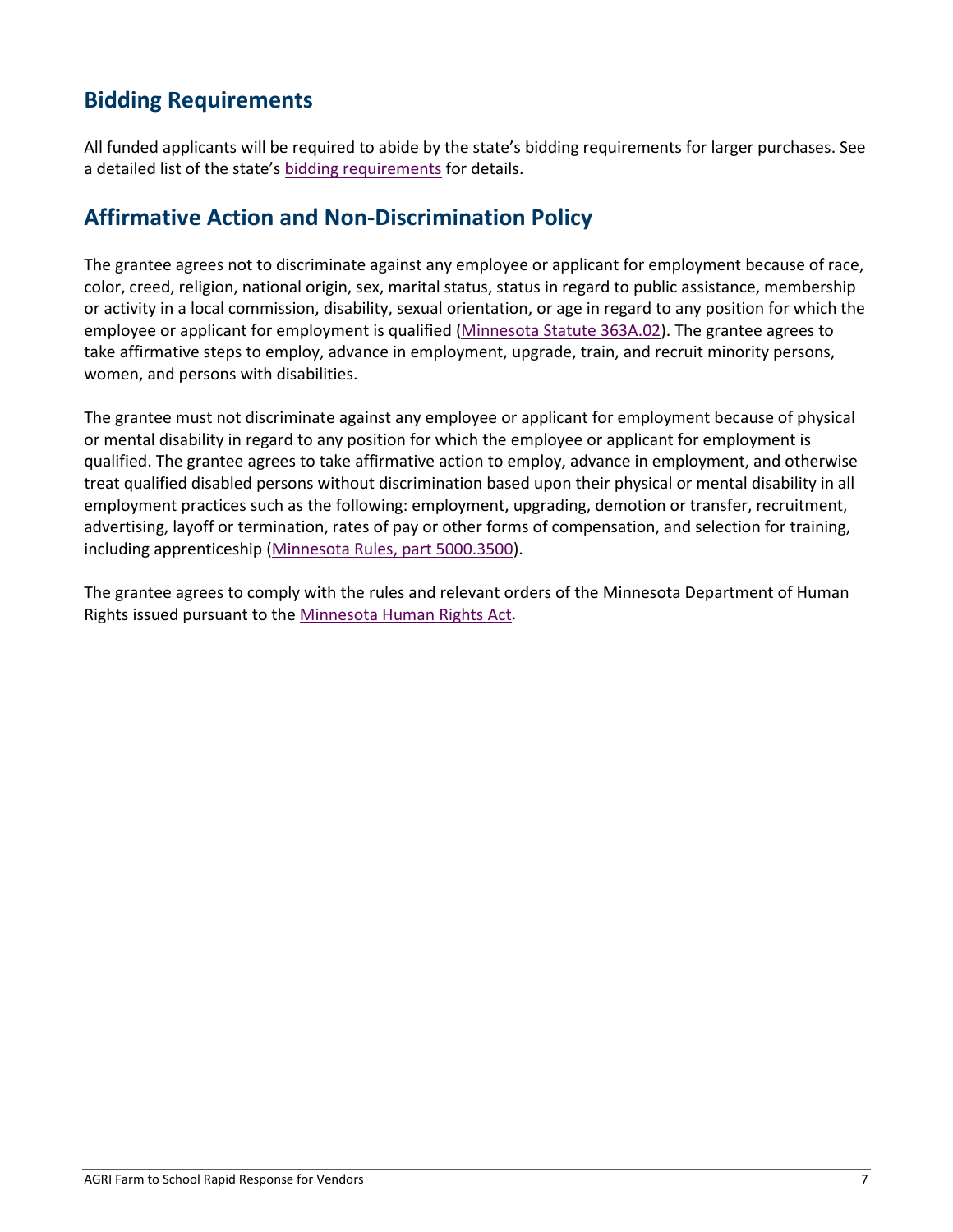# <span id="page-6-0"></span>**Bidding Requirements**

All funded applicants will be required to abide by the state's bidding requirements for larger purchases. See a detailed list of the state's [bidding requirements](https://www.mda.state.mn.us/business-dev-loans-grants/bidding-requirements) for details.

### <span id="page-6-1"></span>**Affirmative Action and Non-Discrimination Policy**

The grantee agrees not to discriminate against any employee or applicant for employment because of race, color, creed, religion, national origin, sex, marital status, status in regard to public assistance, membership or activity in a local commission, disability, sexual orientation, or age in regard to any position for which the employee or applicant for employment is qualified [\(Minnesota](https://www.revisor.mn.gov/statutes/?id=363A.02) Statute 363A.02). The grantee agrees to take affirmative steps to employ, advance in employment, upgrade, train, and recruit minority persons, women, and persons with disabilities.

The grantee must not discriminate against any employee or applicant for employment because of physical or mental disability in regard to any position for which the employee or applicant for employment is qualified. The grantee agrees to take affirmative action to employ, advance in employment, and otherwise treat qualified disabled persons without discrimination based upon their physical or mental disability in all employment practices such as the following: employment, upgrading, demotion or transfer, recruitment, advertising, layoff or termination, rates of pay or other forms of compensation, and selection for training, including apprenticeship [\(Minnesota Rules, part 5000.3500\)](https://www.revisor.mn.gov/rules/?id=5000.3500).

The grantee agrees to comply with the rules and relevant orders of the Minnesota Department of Human Rights issued pursuant to th[e Minnesota Human Rights Act.](https://mn.gov/mdhr/yourrights/mhra/)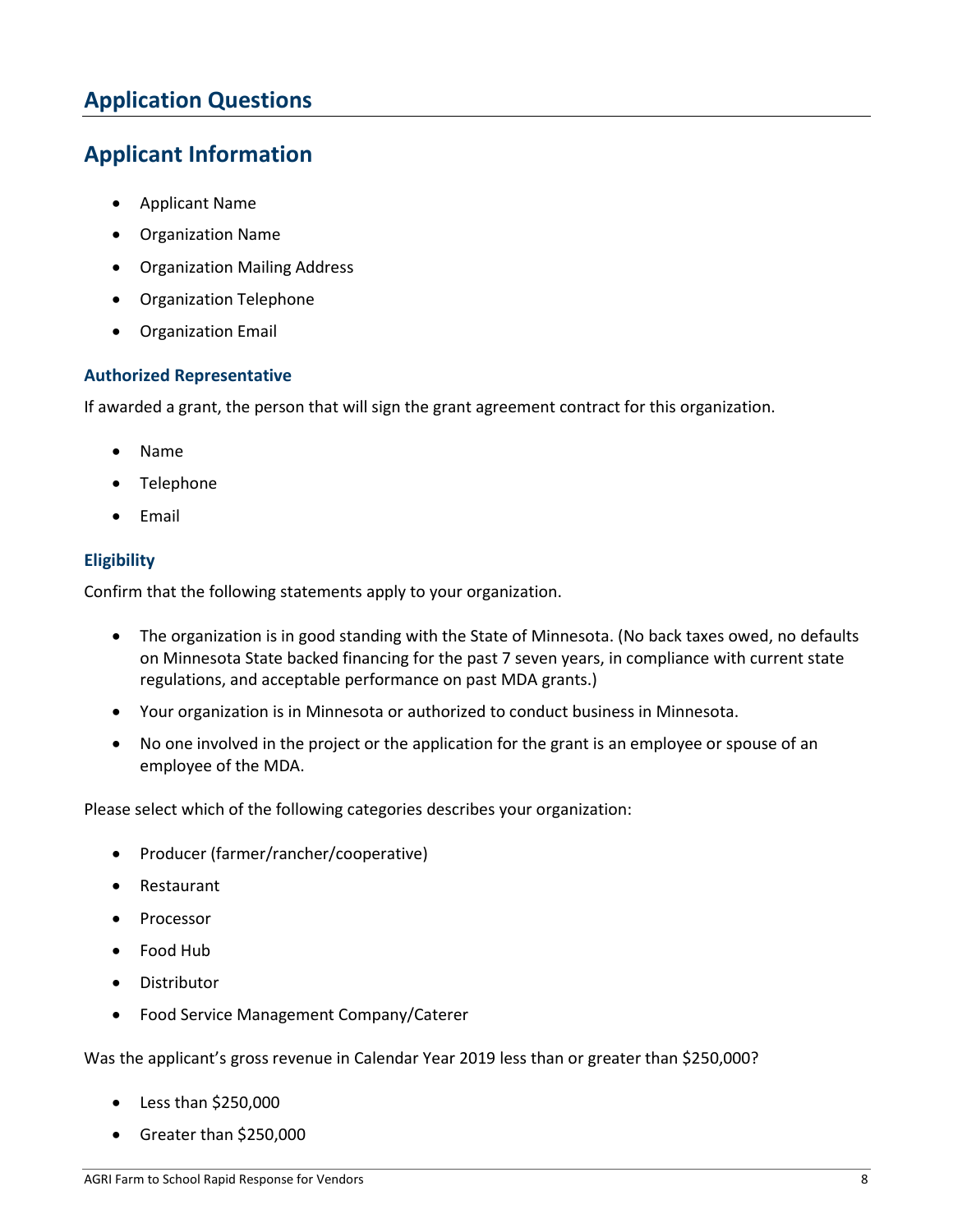# <span id="page-7-0"></span>**Application Questions**

# <span id="page-7-1"></span>**Applicant Information**

- Applicant Name
- Organization Name
- Organization Mailing Address
- Organization Telephone
- Organization Email

#### **Authorized Representative**

If awarded a grant, the person that will sign the grant agreement contract for this organization.

- Name
- Telephone
- Email

#### **Eligibility**

Confirm that the following statements apply to your organization.

- The organization is in good standing with the State of Minnesota. (No back taxes owed, no defaults on Minnesota State backed financing for the past 7 seven years, in compliance with current state regulations, and acceptable performance on past MDA grants.)
- Your organization is in Minnesota or authorized to conduct business in Minnesota.
- No one involved in the project or the application for the grant is an employee or spouse of an employee of the MDA.

Please select which of the following categories describes your organization:

- Producer (farmer/rancher/cooperative)
- Restaurant
- Processor
- Food Hub
- Distributor
- Food Service Management Company/Caterer

Was the applicant's gross revenue in Calendar Year 2019 less than or greater than \$250,000?

- Less than \$250,000
- Greater than \$250,000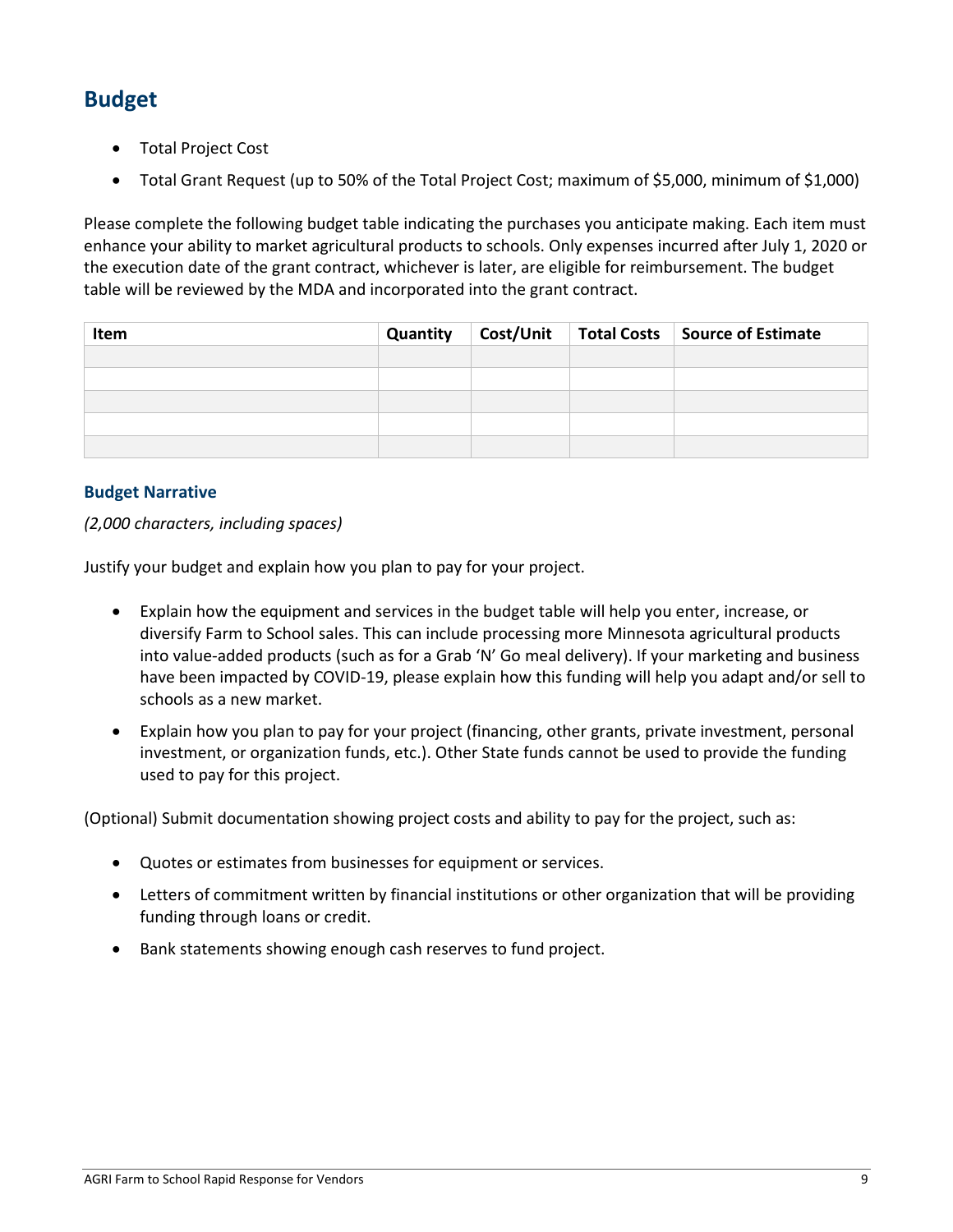# <span id="page-8-0"></span>**Budget**

- Total Project Cost
- Total Grant Request (up to 50% of the Total Project Cost; maximum of \$5,000, minimum of \$1,000)

Please complete the following budget table indicating the purchases you anticipate making. Each item must enhance your ability to market agricultural products to schools. Only expenses incurred after July 1, 2020 or the execution date of the grant contract, whichever is later, are eligible for reimbursement. The budget table will be reviewed by the MDA and incorporated into the grant contract.

| Item |  | Quantity   Cost/Unit   Total Costs   Source of Estimate |
|------|--|---------------------------------------------------------|
|      |  |                                                         |
|      |  |                                                         |
|      |  |                                                         |
|      |  |                                                         |
|      |  |                                                         |

#### **Budget Narrative**

#### *(2,000 characters, including spaces)*

Justify your budget and explain how you plan to pay for your project.

- Explain how the equipment and services in the budget table will help you enter, increase, or diversify Farm to School sales. This can include processing more Minnesota agricultural products into value-added products (such as for a Grab 'N' Go meal delivery). If your marketing and business have been impacted by COVID-19, please explain how this funding will help you adapt and/or sell to schools as a new market.
- Explain how you plan to pay for your project (financing, other grants, private investment, personal investment, or organization funds, etc.). Other State funds cannot be used to provide the funding used to pay for this project.

(Optional) Submit documentation showing project costs and ability to pay for the project, such as:

- Quotes or estimates from businesses for equipment or services.
- Letters of commitment written by financial institutions or other organization that will be providing funding through loans or credit.
- Bank statements showing enough cash reserves to fund project.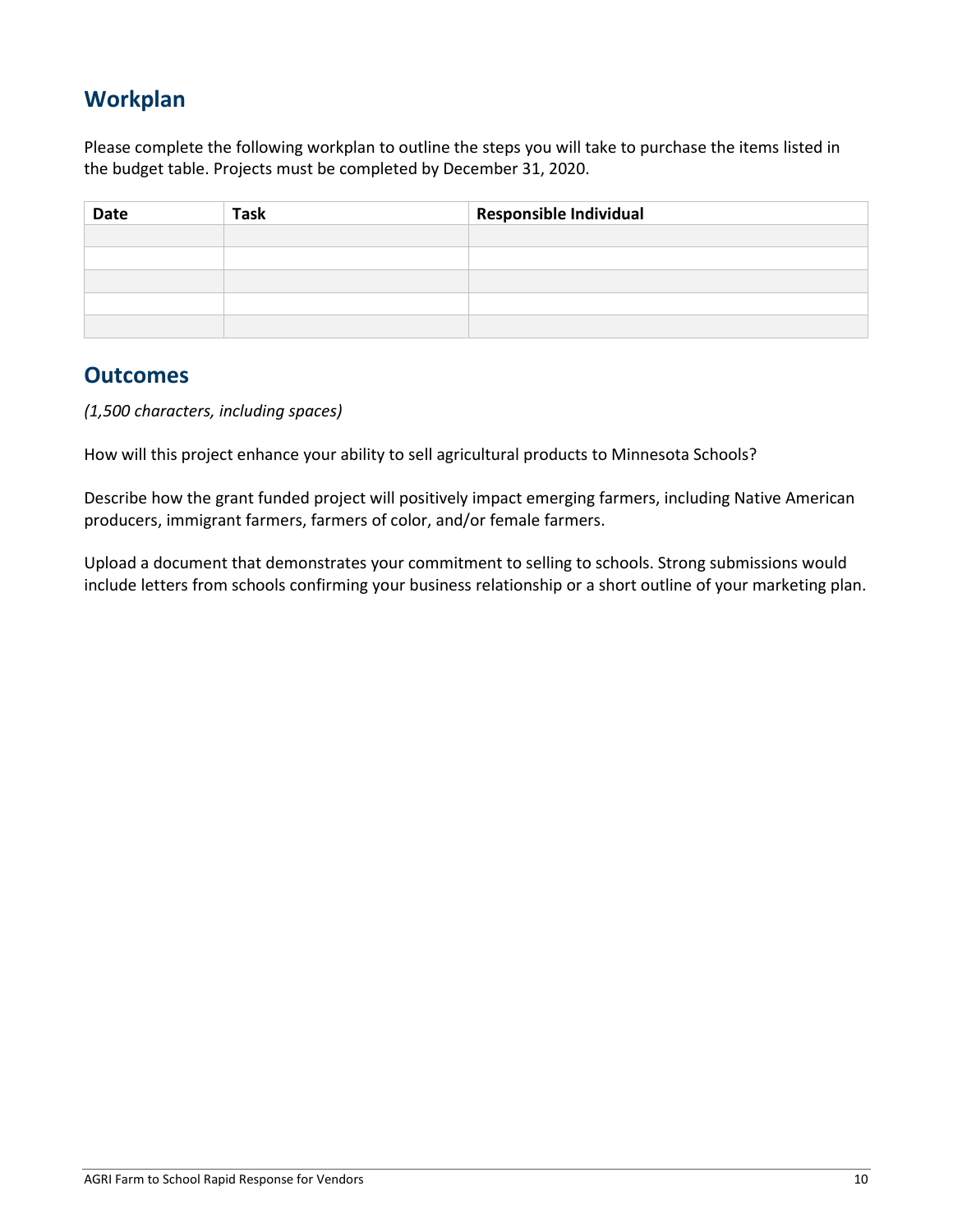# <span id="page-9-0"></span>**Workplan**

Please complete the following workplan to outline the steps you will take to purchase the items listed in the budget table. Projects must be completed by December 31, 2020.

| <b>Date</b> | <b>Task</b> | Responsible Individual |  |
|-------------|-------------|------------------------|--|
|             |             |                        |  |
|             |             |                        |  |
|             |             |                        |  |
|             |             |                        |  |
|             |             |                        |  |

#### <span id="page-9-1"></span>**Outcomes**

*(1,500 characters, including spaces)*

How will this project enhance your ability to sell agricultural products to Minnesota Schools?

Describe how the grant funded project will positively impact emerging farmers, including Native American producers, immigrant farmers, farmers of color, and/or female farmers.

Upload a document that demonstrates your commitment to selling to schools. Strong submissions would include letters from schools confirming your business relationship or a short outline of your marketing plan.